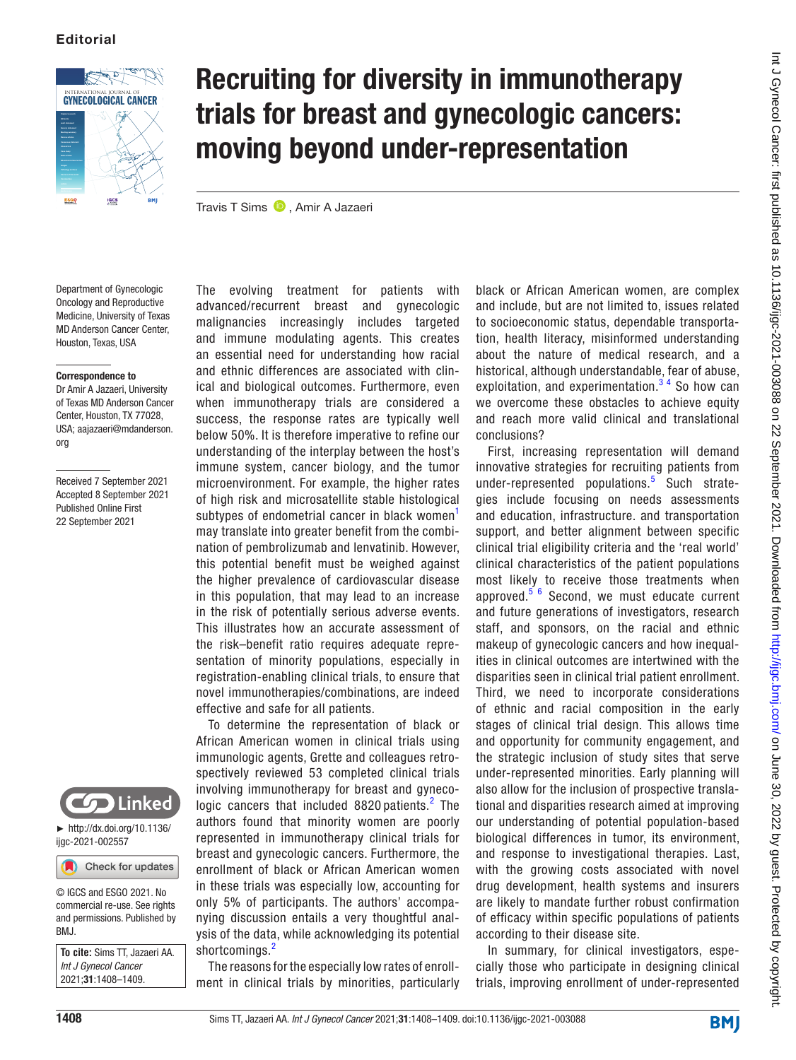

# Recruiting for diversity in immunotherapy trials for breast and gynecologic cancers: moving beyond under-representation

TravisT Sims <sup>D</sup>, Amir A Jazaeri

Department of Gynecologic Oncology and Reproductive Medicine, University of Texas MD Anderson Cancer Center, Houston, Texas, USA

### Correspondence to

Dr Amir A Jazaeri, University of Texas MD Anderson Cancer Center, Houston, TX 77028, USA; aajazaeri@mdanderson. org

Received 7 September 2021 Accepted 8 September 2021 Published Online First 22 September 2021



► [http://dx.doi.org/10.1136/](http://dx.doi.org/10.1136/ijgc-2021-002557) [ijgc-2021-002557](http://dx.doi.org/10.1136/ijgc-2021-002557)

Check for updates

© IGCS and ESGO 2021. No commercial re-use. See rights and permissions. Published by BMJ.

**To cite:** Sims TT, Jazaeri AA. *Int J Gynecol Cancer* 2021;31:1408–1409.

The evolving treatment for patients with advanced/recurrent breast and gynecologic malignancies increasingly includes targeted and immune modulating agents. This creates an essential need for understanding how racial and ethnic differences are associated with clinical and biological outcomes. Furthermore, even when immunotherapy trials are considered a success, the response rates are typically well below 50%. It is therefore imperative to refine our understanding of the interplay between the host's immune system, cancer biology, and the tumor microenvironment. For example, the higher rates of high risk and microsatellite stable histological subtypes of endometrial cancer in black women<sup>[1](#page-1-0)</sup> may translate into greater benefit from the combination of pembrolizumab and lenvatinib. However, this potential benefit must be weighed against the higher prevalence of cardiovascular disease in this population, that may lead to an increase in the risk of potentially serious adverse events. This illustrates how an accurate assessment of the risk–benefit ratio requires adequate representation of minority populations, especially in registration-enabling clinical trials, to ensure that novel immunotherapies/combinations, are indeed effective and safe for all patients.

To determine the representation of black or African American women in clinical trials using immunologic agents, Grette and colleagues retrospectively reviewed 53 completed clinical trials involving immunotherapy for breast and gynecologic cancers that included  $8820$  $8820$  $8820$  patients. $^2$  The authors found that minority women are poorly represented in immunotherapy clinical trials for breast and gynecologic cancers. Furthermore, the enrollment of black or African American women in these trials was especially low, accounting for only 5% of participants. The authors' accompanying discussion entails a very thoughtful analysis of the data, while acknowledging its potential shortcomings.<sup>[2](#page-1-1)</sup>

The reasons for the especially low rates of enrollment in clinical trials by minorities, particularly black or African American women, are complex and include, but are not limited to, issues related to socioeconomic status, dependable transportation, health literacy, misinformed understanding about the nature of medical research, and a historical, although understandable, fear of abuse, exploitation, and experimentation. $3<sup>4</sup>$  So how can we overcome these obstacles to achieve equity and reach more valid clinical and translational conclusions?

First, increasing representation will demand innovative strategies for recruiting patients from under-represented populations.<sup>[5](#page-1-3)</sup> Such strategies include focusing on needs assessments and education, infrastructure. and transportation support, and better alignment between specific clinical trial eligibility criteria and the 'real world' clinical characteristics of the patient populations most likely to receive those treatments when approved. $566$  Second, we must educate current and future generations of investigators, research staff, and sponsors, on the racial and ethnic makeup of gynecologic cancers and how inequalities in clinical outcomes are intertwined with the disparities seen in clinical trial patient enrollment. Third, we need to incorporate considerations of ethnic and racial composition in the early stages of clinical trial design. This allows time and opportunity for community engagement, and the strategic inclusion of study sites that serve under-represented minorities. Early planning will also allow for the inclusion of prospective translational and disparities research aimed at improving our understanding of potential population-based biological differences in tumor, its environment, and response to investigational therapies. Last, with the growing costs associated with novel drug development, health systems and insurers are likely to mandate further robust confirmation of efficacy within specific populations of patients according to their disease site.

In summary, for clinical investigators, especially those who participate in designing clinical trials, improving enrollment of under-represented